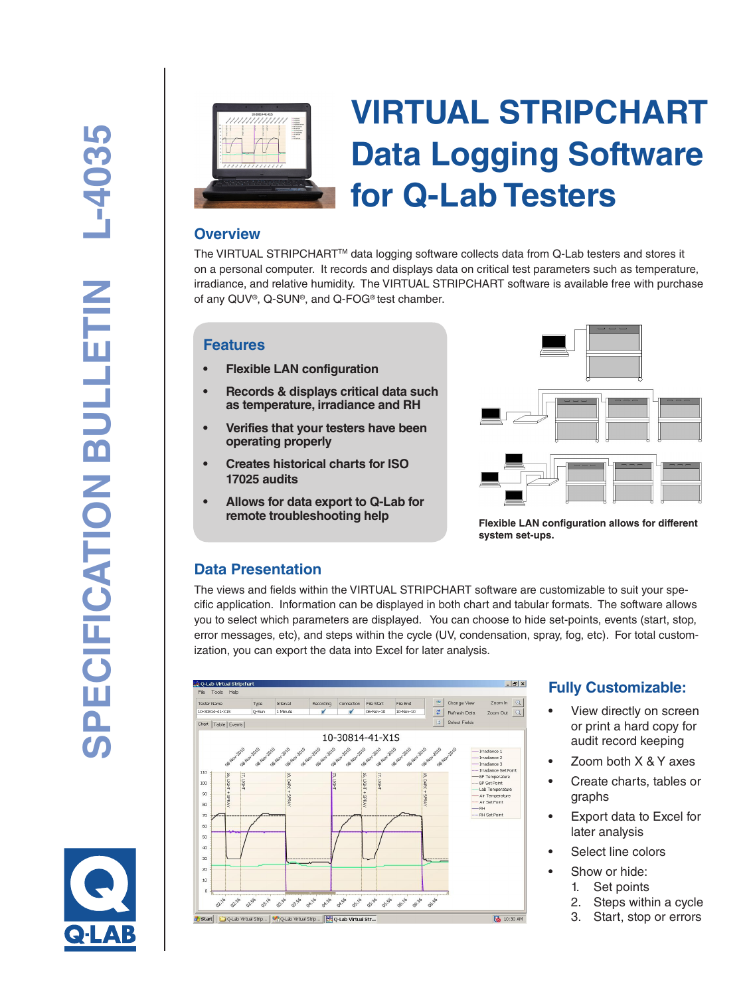

# **VIRTUAL STRIPCHART Data Logging Software for Q-Lab Testers**

#### **Overview**

The VIRTUAL STRIPCHARTTM data logging software collects data from Q-Lab testers and stores it on a personal computer. It records and displays data on critical test parameters such as temperature, irradiance, and relative humidity. The VIRTUAL STRIPCHART software is available free with purchase of any QUV®, Q-SUN®, and Q-FOG® test chamber.

#### **Features**

- **Flexible LAN configuration**
- **• Records & displays critical data such as temperature, irradiance and RH**
- **Verifies that your testers have been operating properly**
- **Creates historical charts for ISO 17025 audits**
- **• Allows for data export to Q-Lab for remote troubleshooting help**



**Flexible LAN configuration allows for different system set-ups.**

## **Data Presentation**

The views and fields within the VIRTUAL STRIPCHART software are customizable to suit your specific application. Information can be displayed in both chart and tabular formats. The software allows you to select which parameters are displayed. You can choose to hide set-points, events (start, stop, error messages, etc), and steps within the cycle (UV, condensation, spray, fog, etc). For total customization, you can export the data into Excel for later analysis.



# **Fully Customizable:**

- View directly on screen or print a hard copy for audit record keeping
- Zoom both  $X & Y$  axes
- Create charts, tables or graphs
- Export data to Excel for later analysis
- Select line colors
- Show or hide:
- 1. Set points
	- 2. Steps within a cycle
	- 3. Start, stop or errors